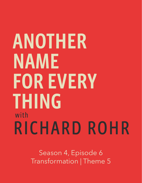## ANOTHER NAME **FOR EVERY THING** with RICHARD ROHR

Season 4, Episode 6 Transformation | Theme 5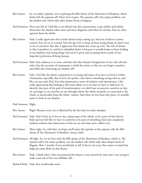- Brie Stoner: So, on today's episode, we're exploring the fifth theme of the Alternative Orthodoxy, which deals with the separate self. Here's how it goes: The separate self is the major problem, not the shadow self, which only takes deeper forms of disguise.
- Paul Swanson: How true this is! I feel like as we delved into this conversation, it got subtler and subtler about how the shadow takes more and more disguises, and when we do that, how we often separate from the whole.
- Brie Stoner: Yeah, I really appreciate that certain themes keep coming up. And one of them is power, control, how we try to control, how the ego tries to keep us from seeing things we don't want to see in ourselves. But also, I appreciate how shame has come up a lot. The role of shame in that it paralyzes us, and how unhelpful shame is because it actually keeps us from looking at our shadows and seeing things that need to grow and accepting them as part of our imperfect perfection of being human.
- Paul Swanson: Yeah, that tendency is so toxic, and then also that thread of forgiveness of not only self and other, but the necessity of community to hold the mirror so that we can forgive ourselves and while also witnessing our shadow self.
- Brie Stoner: Yeah. I feel like the shame component is so strong and many of us have received it within Christianity especially, that if we're not perfect, that there's something wrong with us, and like you just said, Paul, how that perpetuates a sense of isolation and separateness. I also really appreciated that looking at this tenet allows us to see that we have to shift how we identify, that part of the path of transformation is to shift how we perceive ourselves so that we can begin to see ourselves as one through whom the whole resounds, as connected to the whole, as inextricable from the whole. [music] And when we live from that place, it's actually easier to look at our shadow.
- Paul Swanson: Right.
- Brie Stoner: Right? Because we're not so flattened by the fact that we make mistakes.
- Paul Swanson: Yeah. And it frees us to live as one, unique part of the whole, to be a part of that diverse body and not feel like we have to conform or be part of something that's just completely uniform without that distinction of who we are and what we're called to be.
- Brie Stoner: That's right. So, with that, we hope you'll enjoy this episode on the separate self, the fifth theme of The Alternative Orthodoxy. [music ends]
- Paul Swanson: All right. So, we are here with the fifth theme of the Alternative Orthodoxy, which is: The separate self is the major problem, not the shadow self, which only takes deeper forms of disguise. Brie, I wonder if you would kick us off, if there's any story that comes to mind that helps put some flesh on that theme.
- Brie Stoner: Yeah, I think when I first encountered this theme, it was around the time that I was trying to make sense out of the true self/false self—

Richard Rohr: Yeah, that would make sense.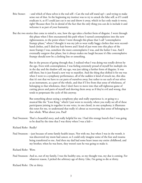- Brie Stoner: --and which of these selves is the real self—Can the real self stand up?—and trying to make sense out of that. In the beginning my instinct was to try to attack the false self, as if I could eradicate it, as if I could just cut it out and throw it away, which in fact only made it worse, right? Because then I'm in denial of the fact that the only thing you can do is include it and welcome it as part of your humanity.
- But the two stories that come to mind is, one, how the ego takes a further form of disguise. I went through this phase when I first encountered this path where I turned contemplation into the new righteousness, to the point where I went through this phase that I call "contemplative frumpy phase," where I thought it was my job to wear really baggy clothes that were secondhand clothes, and I died my hair brown and I kind of just went into this place of the more frumpy I was, somehow the more contemplative I was, and the holier I was. And I eventually outgrew that phase, but it always makes me laugh because it's like contemplative frumpy should now be a clothing line or something.

 But in the process of going through that, I realized what I was doing was totally driven by the ego. Even with contemplation, I was feeling extremely proud of myself for multiple sits in the day and the shadow self, my ego, was just taking a further form of disguise. It was still there, but it just found a new way to manifest. And the thing that shifted it for me was when I went to a symphony performance, all of the sudden it kind of struck me, this idea that it's not that we have to cut parts of ourselves away, but rather to see each of our selves as an instrument, as a part of the whole, and that if I live from that sense of wholeness, of belonging to that wholeness, then I don't have to move into that self-righteous game of cutting pieces and parts of myself and shoving them away as if they're evil and wrong, that tends to perpetuate the cycle of this anyway.

 But something about seeing a symphony play and really experience it, or going to a musical like the "Lion King," which I just went to recently, where you really see all of these participants joining in together in one voice, in one chord, in one symphony, it illustrates this tenet for me, to understand that really it's about us recovering that sense of belonging to that whole. What about you, Paul?

- Paul Swanson: That's a beautiful story, and really helpful for me. I had this strange hunch that I was going to be dead by the time that I was thirty when I was a kid—
- Richard Rohr: Really?
- Paul Swanson: --just because of some family health issues. Not with me, but when I was in the womb, it was discovered my mom had cancer, so I could only imagine some of the fear and trauma being transferred to me. And then my dad had some heart issues my entire childhood, and my brother, when he was born, they weren't sure he was going to make it.

Richard Rohr: Wow.

Paul Swanson: And so, out of my family, I was the healthy one, so my thought was, my due is coming. For whatever reason, I picked the arbitrary age of thirty. Like, I'm going to die at thirty.

Richard Rohr: Die at thirty.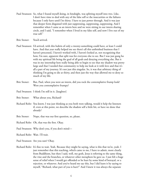- Paul Swanson: So, what I found myself doing, in hindsight, was splitting myself into two. Like, I don't have time to deal with any of the false self or the insecurities or the failures because I only have until I'm thirty. I have to just power through. And it was just that deeper form disguised with just suppressing, suppressing, suppressing. And I remember when I came as an intern here and we were sitting in our intern sharing circle, and I said, "I remember when I lived in my false self, and now I live out of my true self."
- Brie Stoner: You'd arrived.
- Paul Swanson: I'd arrived, with this hubris of only a twenty-something could have, at least I could have. And that year really helped me see there's all this unfinished business that I haven't processed, I haven't worked with, I haven't looked at, not recognizing that how, I'm sure, apparent that split was for everyone else to see. But I was just gung ho with my spiritual life being the goal of all goals and denying everything else. But it was in my internship here really being able to begin to see that my shadow was pretty large and that I needed that community to help me look at it with love and that it's all a part of my journey. It's not just this singular. So, it was that arbitrary thing of thinking I'm going to die at thirty, and then just the way that allowed me to deny so much of my life.
- Brie Stoner: But, Paul, when you were an intern, did you rock the contemplative frump look? Were you contemplative frumpy?
- Paul Swanson: I think I'm still in it. [laughter]
- Brie Stoner: What about you, Richard?
- Richard Rohr: You know, I was just thinking as you both were talking, would it help the listeners if, even at this point, we describe the shadow self a little bit, or have we done that already?
- Brie Stoner: Nope, that was our first question, so, please.

Richard Rohr: Oh, that was the first. Okay.

- Paul Swanson: Why don't you, if you don't mind—
- Richard Rohr: Wait. I'll wait.
- Paul Swanson: Are you sure? Okay.
- Richard Rohr: It's fine to wait. Yeah. Because they might be saying, what is this that we're, yeah. I just remember that this teaching, which came to me, I have to admit, more clearly from Buddhism, but then I said, well, my gosh, Jesus is referring to the same thing, the vine and the branches, or whatever other metaphors he gave us. I just felt a huge sense of relief when I would get offended or be hurt by some kind of betrayal, or a rejection, or whatever. And you've heard me say this, but I did learn it by saying to myself, "Richard, what part of you is hurt?" And I knew it was always the separate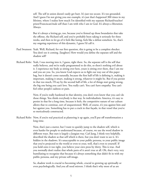self. The self in union doesn't easily get hurt. It's just too secure. It's too grounded. And I guess I'm not giving you one example, it's just that's happened 300 times in my lifetime, where I realize how much I'm identified with my separate Richard/teacher/ priest/Franciscan/male self than I am with who I am in God. It's always a liberation. Always.

 But it's always a letting go, too, because you've firmed up those boundaries that take the offense, the Richard self, and you've probably been taking it seriously for three weeks, and then to let go of it feels like losing, feels like a defeat somehow. So, that's my ongoing experience of this dynamic, I guess I'd call it.

- Paul Swanson: Yeah. Well, Richard, for our first question, this is going to be a complete shocker. You don't see it coming. [laughter] How would you define the separate self and the shadow self?
- Richard Rohr: Yeah, I was moving into it, I guess, right there. So, the separate self is the self that really believes, and we're really programmed to do this, so there's nothing evil about it. I experience my body as sitting over here, yours is sitting over there, that I am me and you are you. So, you know God expects us to fight our way out of this paper bag, but it doesn't come naturally, because the first half of life is defining it, making it important, making it smart, making it strong, whatever it might be. But if you persist in that too much, I'll say by the second half of life, a lot of things start going wrong, the big one being you can't love. You really can't. You can't have empathy. You can't feel other people's sadness or pain.

 Now, if you're really hardened in that identity, you don't even know that you can't do those things. You think everybody is that way. In individualistic America, it's easy to persist in that for a long time, because it feels, the competitive nature of our culture allows that to continue, sort of unquestioned. Well, of course, it's you against him and her against you. Something has to put a crack in that façade, in that vessel that you've so meticulously constructed.

Richard Rohr: Now, if you're real practiced at plastering it up again, you'll put off transformation a long time.

> Now, that's just a starter, but I want to quickly jump to the shadow self, which is even harder for people to understand because, of course, we use the word shadow in different ways. But ours is largely a Jungian way. Carl Jung, I think very helpfully, described the shadow as that self which is there, but you don't want to see it. It's hidden in the shadows. It's unacceptable to your public persona, to your public image that you've projected to the world or even to your, well, that's even to yourself. If you hold onto it too tight, you believe your own press by thirty. This is true. And you normally don't realize that whole parts of it aren't true at all. Oh, that's very, very humiliating to recognize that because it's always something that didn't fit in with my public persona, and my private self-image.

 So, shadow work is crucial to becoming whole, crucial to growing up spiritually or even psychologically. And you all need mirrors. I think that's why most of us are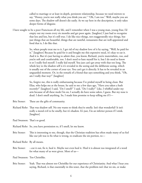called to marriage or at least in-depth, persistent relationship, because we need mirrors to say, "Honey, you're not really what you think you are." "Oh, I am too." Well, maybe you are some days. The shadow self doesn't die easily. As we say here in the description, it only takes deeper forms of disguise.

I have sought to be a poor Franciscan all my life, and I remember when I was a young man, young friar, I'd empty out my room every six months and get poor again. [laughter] I just had to recognize that less and less, but it's still true. I do like nice things, not exaggeratedly nice things, but just things that are beautiful, things that are tasteful, restaurants that are well-appointed and food that is, I do like that.

> So, when people treat me to it, I get rid of my shadow love of it by saying, "Well, he paid for it." [laughter] Because he paid for it and bought me this expensive meal, it's okay to eat it. And it is. But it's just having to admit that, you know, Richard, you're materialistic, too, and you're soft and comfortable, too. I don't need to hate myself for it, but I do need to know it or I really fool myself. I really kid myself. You just can't get away with that too long. The whole key to the shadow self is it's revealed in the seeing and the deliberate seeing, which is usually out of the corner of your eye. You can't get it directly. It has to be revealed in an unguarded moment. Or, in the remark of a friend that says something and you think, "Oh, am I really that way?" [laughter]

> So, forgive me, this is really embarrassing because I've prided myself in being clean. But Elias, who helps me at the house, he said to me a few days ago, "Have you taken a bath recently?" [laughter] I said, "Do I smell?" I said, "Do I really?" Like, I whiffed under my arm because of all these meds I'm on, I actually do have some odors, I guess. But my nose is dead. I don't smell anything. So, I made him promise to keep telling me if I—

- Brie Stoner: These are the gifts of community.
- Richard Rohr: That was shadow self. No one wants to think they're smelly. Isn't that wonderful? It isn't really a moral evil to be smelly, but it's shadow. It's just, I'm an inferior person if I stink. [laughter]

Paul Swanson: That's so good.

- Richard Rohr: So, you have permission to, if I smell, let me know.
- Brie Stoner: This is interesting to me, though, that the Christian tradition has often made many of us feel like our job was to fix what is wrong, to eradicate the sin portion, to—

Richard Rohr: By all means.

Brie Stoner: --cut it out, fix it, heal it. Maybe not even heal it. Heal it is almost too integrated of a word for what many of us were given. Most of us—

Paul Swanson: Too Christlike.

Brie Stoner: Yeah. That was almost too Christlike for our experience of Christianity. And what I hear you saying, Richard, is that essentially in this tenet, that the problem isn't that we sin, or make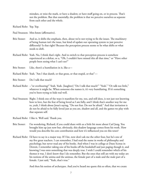mistakes, or miss the mark, or have a shadow, or have stuff going on, or in process. That's not the problem. But that essentially, the problem is that we perceive ourselves as separate from each other and the whole.

Richard Rohr: Yep. Yep.

- Paul Swanson: Mm-hmm (affirmative).
- Brie Stoner: And so, it shifts the emphasis, then, about we're not trying to fix the issues. The machinery of being human isn't the issue, but kind of update our operating system to just perceive differently? Is that right? Because the perception process seems to be what shifts or what needs to shift.
- Richard Rohr: Yeah. No, I think that's right. And to switch to that perception process is somehow experienced as a defeat, or a, "Oh, I couldn't have missed this all that time," or "Have other people been seeing what I can't see?"
- Brie Stoner: Like, there's a humiliation in it, like a—
- Richard Rohr: Yeah. "Am I that dumb, or that gross, or that stupid, or that"—
- Brie Stoner: Do I talk that much?
- Richard Rohr: --"or overbearing?" Yeah. Yeah. [laughter] "Do I talk that much?" "Yeah." "Or talk too little," whatever it might be. When someone else names it, it's very humiliating. If it's something you've been trying to hide real well.
- Paul Swanson: Right. I think one of the ways it manifests for me, too, and still does, is not just not knowing how to love, but the fear of being loved as I am fully, and I think that's another way for me to, yeah, I think about Jesus's saying, "Do not fear. Do not be afraid." And that invitation is do not be afraid to be fully loved just as you are, shadow and all, and the games we play with that separate self.

Richard Rohr: I like it. Well said. Thank you.

- Brie Stoner: I'm wondering, Richard, if you could share with us a little bit more about Carl Jung. You brought him up just now but, obviously, this shadow language comes from his work. How would you describe his core contribution and how it's influenced you on this tenet?
- Richard Rohr: I'd have to say in a major way. If I list, now don't ask me the other four, but he's one of my five great teachers. I can remember, I had read the name in works of philosophy and psychology, but never read any of his books. And when I was in college at Duns Scotus in Detroit, I remember taking one of his books off the bookshelf and just paging though it, and knowing I was onto something that was deeply true. I wish I could remember which of his themes it was. I don't know that I do remember. But the ones that still are with my today are his notions of the anima and the animus, the female part of a male and the male part of a female. I just said, "Yeah, that's true."

And then his notion of archetypes. And you've heard me quote this so often, that we create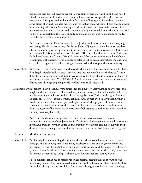the images that the soul needs to see for its own transformation. And I think being raised a Catholic and at this beautiful, old, medieval Duns Scotus College where there was art everywhere, I had just lived in the midst of this kind of beauty, and I wondered why do some pieces of art just fascinate me, or I want to look at them whenever I pass by, and others mean nothing whatsoever. So, archetypal truth, which was connected to his notion of the unconscious, that most of what we do is unconsciously motivated. I knew that was true. And we have this expectation that we're all fully aware, and it's obvious to me hardly anybody's aware by the way they deny and project.

 And then I reverted to Freudian terms like projection, and so forth, to explain what Jung was seeing. He always struck me, after I'd read a bit of Jung, as a man who must have been a believer, and his great disappointment in Christianity was that it was so external. It was all just external beliefs, external behaviors. He said, "There's no interior life in most Christians, Catholic or Protestant." I said, "Yeah." I mean, that's become central to my whole life, that recognition of the necessity of interiority to balance out so much externalized morality and externalized religion, externalized liturgy, externalized notion of priesthood or ministry.

- Richard Rohr: And then, of course, this massive notion of the shadow self. Just that someone would clarify for a largely moralistically trained Catholic, that the shadow self is not the bad self. And I didn't believe it because he said it, but because he said it I was able to believe what I knew to be true at a deeper level: "Yes! He's right!" And in all these, there must be one or two more, that he named things by giving words to what I intuitively suspected.
- I remember when I taught in Switzerland, several times they took me to places where he had worked, and taught, and written, and I felt I was walking in a sanctuary, you know. He really evoked for me the meaning of holiness. And yet, here I recognize most Christians thought of him as a pagan, an "esoteric," as the Germans call him. And, in fact, even in Switzerland, when I would quote him, I found out again and again he wasn't that popular. He wasn't that wellknown, even here he was one of their own, but there was a resentment about him. And I think it's because of his rather harsh criticisms of Christianity. So, they just didn't read him. But they were very fair, really.

 And then, oh, the other thing, I used to teach, when I was in charge of the youth community that became New Jerusalem in Cincinnati, all these young people. I don't know if you have them more when you're young, but they were always coming to me with their dreams. Now, we were part of the charismatic movement, so we had fostered that, I guess.

- Brie Stoner: Mm-hmm (affirmative).
- Richard Rohr: But his help in understanding that this was the way the unconscious was trying to break through. And as a young man, I had many revelatory dreams, and he gave me immense permission to trust them. And, each one builds on the other. And the language of dreams is symbol. It's not literalism. And once you get one or two good dreams that, really, you know this is your deeper self-speaking, it almost cures fundamentalism. Really, it does.

 I bet a fundamentalist has to repress his or her dreams, because they don't want to read reality as symbolic. They want to read it as literal. So they'll make any dark dream the devil: "A devil was in my dreams last night." And to say this might have been a friend showing you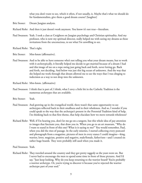what you don't want to see, which it often, if not usually, is. Maybe that's what we should do for fundamentalists, give them a good dream course? [laughter]

- Brie Stoner: Dream Jungian analysts.
- Richard Rohr: And then it just doesn't work anymore. You know it's not true—literalism.
- Paul Swanson: Yeah. I took a class at Creighton on Jungian psychology and Christian spirituality. And my professor, who is now my spiritual director, really helped me with seeing my dreams as these invitations from the unconscious, to see what I'm unwilling to see.
- Richard Rohr: That's right.
- Brie Stoner: Mm-hmm (affirmative).
- Paul Swanson: And to be able to have someone who's not telling you what your dream means, but to work with it archetypically, it literally helped me decide to get married because of a dream I had and this image of me on a rope swing just going back and forth, never letting go. Back and forth, not deciding. And below was just this big ocean of unknown. And the way that she helped me work through that dream allowed me to see the ways that I was clinging to indecision as a way to not drop into the unknown.
- Richard Rohr: Mm-hmm. (affirmative)
- Paul Swanson: I think that is part of, I think, what I envy a little bit in the Catholic Tradition is the numerous archetypes that are available.
- Brie Stoner: Yeah.
- Paul Swanson: And growing up in the evangelical world, there wasn't that same opportunity to see archetypes reflected back in their smallness and in their wholeness. And so, I wonder if you could speak to the way that the archetype's present in the Perennial Tradition kind of help, I'm thinking back to that first theme, that help elucidate how we move towards wholeness?
- Richard Rohr: Well, if I'm hearing you, don't let me go on a tangent, but this whole idea of pay attention to images that fascinate you, that draw you in. When you go to an art museum, "Why do I want to stand in front of this one? What is it saying to me?" You would remember, Paul, when you did the rites of passage. In the early nineties, I started collecting every postcard and photograph from a magazine, pictures of men in every stance I could imagine—king, warrior, lover, magician, positive and negative, male/female, father/son—and I created six rather huge boards. They were probably still used when you made it.

Paul Swanson: Yeah.

Richard Rohr: They traveled around the country and they got pretty raggedy as the years went on. But I never had to encourage the men to spend some time in front of those pictures. And I'd say, "Just keep looking. Why do you keep returning to the warrior board? You're probably a warrior archetype. Or, you're trying to discover it because you've rejected the warrior archetype part of your soul."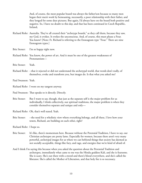And, of course, the most popular board was always the father/son because so many men began their men's work by bemoaning, necessarily, a poor relationship with their father, and they longed for some dear pictures. But again, I'd always have on the board both positive and negative. So, I have no doubt to this day, and that has been continued in Czech Republic, Ireland,

- Richard Rohr: Australia. They've all created their "archetype boards," as they call them, because they saw, my God, it evokes. It evokes the unconscious. And, of course, this must please a Four. You know? [Note: Fr. Richard is referring to the Enneagram type "Four." There are nine Enneagram types.]
- Brie Stoner: I'm so happy right now.
- Richard Rohr: You know, the power of art. And it must be one of the greatest weaknesses of Protestantism—
- Brie Stoner: Yeah.
- Richard Rohr: --that it rejected or did not understand the archetypal world, that words don't really, of themselves, evoke and transform you, but images do. Is that what you asked me?
- Paul Swanson: Yeah.

Richard Rohr: I went on my tangent anyway.

- Paul Swanson: That speaks to it directly. Directly.
- Brie Stoner: But I want to say, though, that just as the separate self is the major problem for us individually, I think collectively, our spiritual traditions, the major problem is when they consider themselves separate and unique and only—
- Richard Rohr: Oh, that's well stated. Yeah.
- Brie Stoner: --the need for a wholistic view where everything belongs, and all these, I love how your tenets, Richard, are building on each other, right?

Richard Rohr: I hope so.

- Brie Stoner: It's like, there's momentum here. Because without the Perennial Tradition, I have to say, our Christian archetypes are pretty lame. Especially for women, because there aren't very many powerful, archetypal images for us where we can befriend things that society has deemed as not socially acceptable, things like fury, and rage, and energies that we're kind of afraid of.
- And I think I'm saying this because when you asked the question about the Perennial Tradition and archetypes, immediately what came to me was the Hindu goddess Kali, and she is fearsome. She is scary. She's out there with a sword and there's blood everywhere, and she's called the liberator. She's called the Mother of Liberation, and that holy fire is so necessary.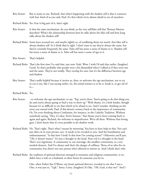Brie Stoner: But it seems to me, Richard, that what's happening with the shadow self is that it connects with fear, kind of as you said, Paul. It's that which we're almost afraid to see of ourselves.

Richard Rohr: Yes. Fear is big part of it, that's right.

- Brie Stoner: Is that the same mechanism, do you think, as the true self/false self that Thomas Merton describes? What's the relationship between how he talks about the false self and how Jung talks about the shadow self?
- Richard Rohr: Some have accused me, and maybe rightly so, of conflating them too much, that false self is always shadow self. So I think they're right. I don't want to say they're always the same, but they're certainly frequently the same. False self has more a sense of shame to it. Shadow self has more a sense of shame to it. False self has more a sense of ego to it.
- Brie Stoner: That's helpful.
- Richard Rohr: That's the first time I've said that, just now. Yeah. Wow. I wish I'd said that earlier. [laughter] Good. So that's probably why people were a bit dissatisfied when I talked as if they were one and the same. They're not totally. They overlap for sure, but it's the difference between ego and shadow.
- Brie Stoner: That's really helpful because it invites us, then, to welcome the ego mechanism, not to try to cut it out, like I was saying earlier. So, the initial instinct is to fix it, break it, or get rid of it—
- Richard Rohr: Yes.
- Brie Stoner: --to welcome the ego mechanism, to say, "Yep, you're there. You're going to do that thing you do and you're always going to find a way to show up." With shame, it's a little harder, though because it's so difficult to see that which we're afraid to see. And I wonder, thinking on the story you started with, Paul, if this doesn't connect back to the importance of community. Or, I'm even thinking about Confession, for instance, in the Catholic Tradition. Without somebody saying, "Hey, it's okay. You're human," that theme you've been coming back to again and again, Richard, the welcome to imperfection. We're all there. Without that loving gaze, I don't know that it's even possible to do shadow work.
- Richard Rohr: No. That's right. That's what I meant by mirroring. You have to have help in that. You can't just delve in in your private cave. It needs to be revealed to you. And the humiliation and embarrassment, "Is that how I look? Is that how I'm coming across?" Otherwise you'll just, "Oh, it doesn't matter." It's just a thought in the head. Your evil is a thought in the head. That's very legitimate. A community is, our marriage, the smallest community, is a very needed element. And I've always said that's the danger of celibacy. Those of us who live in community, but there's not one person who's allowed to mirror us. And I think that's why
- Richard Rohr: the tradition of spiritual directors emerged in monastic and religious communities, is we didn't have a wife or a husband, so there better be someone you let in.

 Like, when Father Jim O'Brien, my Jesuit spiritual director, revealed to me that I was a One, it was just so, "Ugh." Sorry, Corey. [laughter] It's like, "Oh, God, is that me?" And I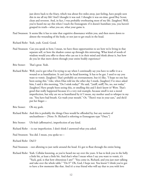just drove back to the friary, which was about five miles away, just feeling, have people seen this in me all my life? And I thought it was zeal. I thought it was on-time, good Boy Scout, clean and reverent. And, in fact, I was probably overbearing most of my life. [laughter] Well, you've heard me say this when I teach the Enneagram: if it doesn't humiliate you, you haven't grasped its truth—what you are, what your game is.

- Paul Swanson: It seems like it has to raise that cognitive dissonance within you, and then move down to almost the wounding of the body, or not just to get stuck in the head.
- Richard Rohr: Yeah, yeah. Good. Good.
- Paul Swanson: Can you speak to how, I mean, we have these opportunities to see how we're living in that separate self, or how the shadow comes up through this mirroring. What kind of words of wisdom would you offer to those who can see it in their mind and think about it, but how do you let that move down through your entire bodily experience?
- Brie Stoner: That's great. Yeah.
- Richard Rohr: Well, you've got what I'm trying to say when I continually say you have to suffer it as a wound or as humiliation. It can't just be head knowing. It has to be gut. I used to say you want to vomit. [laughter] That's probably an overstatement, but it's like, "I hope no one has been seeing this." Like, when Elias told me the other day I stunk, [laughter] I've since asked him, I said it this morning, "Do I stink today?" He said, "[sniff, sniff] No, no, not today." [laughter] Have people been seeing this, or smelling this and I don't know it? Wow. That's good that really happened because it's a very real example, because smell is not a moral imperfection, but why are we so humiliated by it? I mean, my mother used to whisper in my ear, "You have bad breath. Go wash your mouth." Or, "There's wax in your ears," and she'd put her finger—
- Brie Stoner: Oh my gosh.
- Richard Rohr: And this is probably the things Ones would be offended by, but any notion of uncleanliness— [Note: Fr. Richard is referring to Enneagram type "Ones."]
- Brie Stoner: Uh-huh (affirmative), imperfection of any kind.
- Richard Rohr: --is our imperfection. I don't think I answered what you asked.
- Paul Swanson: You did. I mean, you spoke to—
- Richard Rohr: Did I?
- Paul Swanson: --not allowing to just rattle around the head. It's got to float through the entire being.
- Richard Rohr: Yeah. Cellular knowing, as you've heard me say over the years. It has to kick you in the belly a little bit, at least a little bit. And that's what I mean when I say you want to vomit, it's "Yuck, god, is that how obnoxious I am?" "You come in, Richard, and you just start talking and take over the whole table." "Do I?" Oh, God, I hope not. You know? I think you've got to have a few moments like that. And it's a true friend who will say that to you with love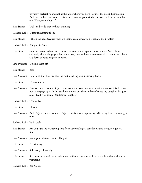|                           | privately, preferably, and not at the table where you have to suffer the group humiliation.<br>And for you both as parents, this is important to your kiddies. You're the first mirrors that<br>say, "Now, sonny boy-"                                   |
|---------------------------|----------------------------------------------------------------------------------------------------------------------------------------------------------------------------------------------------------------------------------------------------------|
| Brie Stoner:              | Well, and to do that without shaming-                                                                                                                                                                                                                    |
|                           | Richard Rohr: Without shaming them.                                                                                                                                                                                                                      |
| Brie Stoner:              | --that's the key. Because when we shame each other, we perpetuate the problem-                                                                                                                                                                           |
|                           | Richard Rohr: You got it. Yeah.                                                                                                                                                                                                                          |
| Brie Stoner:              | --and we make each other feel more isolated, more separate, more alone. And I think<br>culturally that's a huge problem right now, that we have gotten so used to shame and blame<br>as a form of attacking one another.                                 |
|                           | Paul Swanson: Writing them off.                                                                                                                                                                                                                          |
| <b>Brie Stoner:</b>       | Yeah.                                                                                                                                                                                                                                                    |
|                           | Paul Swanson: I do think that kids are also the best at telling you, mirroring back.                                                                                                                                                                     |
| <b>Brie Stoner:</b>       | Oh, so honest.                                                                                                                                                                                                                                           |
|                           | Paul Swanson: Because there's no filter it just comes out, and you have to deal with whatever it is. I mean,<br>not to keep going with this stink metaphor, but the number of times my daughter has just<br>said, "Dad, you stink." You know? [laughter] |
| Richard Rohr: Oh, really? |                                                                                                                                                                                                                                                          |
| Brie Stoner:              | I love it.                                                                                                                                                                                                                                               |
|                           | Paul Swanson: And it's just, there's no filter. It's just, this is what's happening. Mirroring from the youngest<br>ones.                                                                                                                                |
| Richard Rohr: Yeah, yeah. |                                                                                                                                                                                                                                                          |
| Brie Stoner:              | Are you sure she was saying that from a physiological standpoint and not just a general,<br>like—                                                                                                                                                        |
|                           | Paul Swanson: Just a general stance in life. [laughter]                                                                                                                                                                                                  |
| Brie Stoner:              | I'm kidding.                                                                                                                                                                                                                                             |
|                           | Paul Swanson: Spiritually. Physically.                                                                                                                                                                                                                   |
| Brie Stoner:              | So, I want to transition to talk about selfhood, because without a stable selfhood that can<br>withstand-                                                                                                                                                |
| Richard Rohr: Yes. Good.  |                                                                                                                                                                                                                                                          |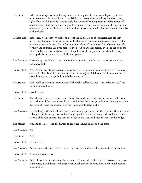- Brie Stoner: --that wounding, that humiliating process of seeing the shadow, we collapse, right? So, I want to connect this tenet back to the Trinity for a second because if we build on these, right, if we hold that reality is relational, then when we're living from the false notion of separateness, could we say that the problem or sin is living in anti-reality, or living the lie of separateness, that our choices and actions don't impact the whole, that we're not accountable to the whole?
- Richard Rohr: Yeah, yeah, yeah. Yeah, we refuse to accept the implications of connectedness. It's very interesting that our central sacrament of Eucharist, or Communion as you very well call it, is naming the whole deal. Go to Communion. Go to Communion. Yes. Go to union. Go to the place of union. And you transfer the bread to another person, even the action of the ritual is relational. We're always told, I hope I don't offend you, in your churches, do you pick up the bread yourself or pick the cup yourself?
- Paul Swanson: Growing up, yes. Now, in the Mennonite community that I'm part of, we go, there's an exchange. Yeah.
- Richard Rohr: Yeah. And it was always insisted, it must be given to you, and you must receive. That was correct, I think. But I know there are churches who just pick it out, and it maybe seems like a small thing, but the symbolism of relationality is lost.
- Brie Stoner: Yeah. Well, and then it seems like that's the stable selfhood, then, is the relational self, the communion selfhood.
- Richard Rohr: Excellent. Yes.
- Brie Stoner: The selfhood that most reflects the Trinity, that understands that we are inextricable from each other, and then can mirror back to each other these things with love. So, it's almost like the work of seeing the shadow is to move deeper into relationship.
- Paul Swanson: I'm thinking back, and I think it was when we were preparing for this episode, Brie, we were talking about the image that we both grew up with. It was an evangelistic tool where there are two cliffs. On one side it's you, the other side is God, and then the cross is the bridge.
- Brie Stoner: Oh, and the cross. And the flames of hell were licking up around the cross.
- Paul Swanson: Yes.
- Brie Stoner: Yeah.
- Richard Rohr: Oh, my God.
- Paul Swanson: And so, it was that need of the cross to get to God, and it was like a one-time transaction.
- Richard Rohr: A one-time transaction.
- Paul Swanson: And I think that only deepens the separate self, when that's the kind of theology that you're raised with, is you don't see that it's a continual need for communion, a continual need for reconnection.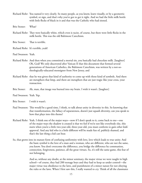- Richard Rohr: You named it very clearly. So many people, as you know, learn visually, or by a geometric symbol, or sign, and that's why you've got to get it right. And we had the little milk bottle with little flecks of black in it and that was the Catholic who had sinned.
- Brie Stoner: What?
- Richard Rohr: They were basically white, which even is racist, of course, but there were little flecks in the milk bottle. This was the old Baltimore Catechism.
- Brie Stoner: That is terrible.
- Richard Rohr: It's terrible, yeah!
- Paul Swanson: Yeah.
- Richard Rohr: And then when you committed a mortal sin, you basically had chocolate milk. [laughter] Oh, God! We only discovered after Vatican II that this document that formed several generations of American Catholics, the Baltimore Catechism, was written by a not-sotheologically-educated monsignor from New Jersey, and
- Richard Rohr: that he was given that kind of authority to come up with those kind of symbols. And there are metaphors that limp, and there are metaphors that are just tragic like your cross, your transaction.
- Brie Stoner: Ah, man, that image was burned into my brain. I wish it wasn't. [laughter]
- Paul Swanson: Yeah. Yep.
- Brie Stoner: I wish it wasn't.
- Paul Swanson: This would be a good time, I think, to talk about unity in diversity in this. So knowing that that transformation, the fallacy of separateness, doesn't just squash diversity, can you speak to how that plays into this theme?
- Richard Rohr: Yeah. I think one of the major ways—now if I don't speak to it, come back to me—one of the major ways the shadow is created is that we feel if we're not like everybody else, this starts when you're a little two-year-old, three-year-old, you must conform to gain other kids' approval. And any kid who is a little different will be made fun of, publicly shamed, and that's the last thing a kid can bear.
- So, that grows into its mature form of confusing uniformity with love, love which leads to true unity. And the basic symbol is the love of a man and a woman, who are different, who are not the same, you know. You don't overcome the difference, you bridge the difference by communion, connection, forgiveness, patience, all the great virtues. So, it's still the same game, this fear of not belonging.

 And so, without any doubt, at the minor seminary, the major virtue we were taught in high school—of course, they had 200 teenage boys and they had to keep us under control—the major virtue was obedience to the laws, and punishment of a minor nature for not obeying the rules or the laws. When I first saw this, I really wanted to cry. Think of all the classmates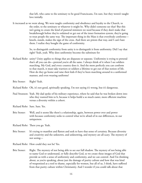that left, who came to the seminary to be good Franciscans, I'm sure, but they weren't taught love initially.

It increased as we went along. We were taught conformity and obedience and loyalty to the Church, to the order, to the seminary or whatever it might be. Why didn't someone see that? But this isn't going to create the kind of pastoral ministers we need because if they don't make that breakthrough before they're ordained or get out of the inner formation system, they're going to treat people the same way. The important thing in the Mass is that everybody conforms kneels, stands, makes the sign of the cross. And there are priests that way, and I can't hate them. I realize they bought the game of conformity.

> So, to distinguish conformity from unity is to distinguish it from uniformity. Did I say that right? Yeah, yeah. Why does uniformity become the substitute for

- Richard Rohr: unity? Unity applies to things that are disparate or separate. Uniformity is trying to pretend that's all you can do—pretend you're all the same. I always think of it when I see soldiers marching. My God, and every country does it. And the more perfectly you can conform to that march, it must take warriors or soldiers a lifetime to get out of that notion of life. How do they go home and raise their kids if they've been marching around in a uniformed manner, and even wearing uniforms?
- Brie Stoner: Right? Yeah.

Richard Rohr: Oh, it's not good, spiritually speaking. I'm not saying it's wrong, but it's dangerous.

- Paul Swanson: Yeah. My dad spoke of his military experience, where he said that he was broken down into who they wanted him to b, because it helps build a so much easier, more efficient machine versus a diversity within a cohort.
- Richard Rohr: Sure. Sure. Yes.
- Brie Stoner: Well, and it seems like there's a relationship, again, between power over and power with because conformity seeks to control what we're afraid of in our differences, in our uniqueness.

Richard Rohr: There you go. Yeah.

Brie Stoner: It's trying to manifest and flatten and seek to have that sense of certainty. Because diversity and creativity and the unknown, and unknowing, and mystery are all scary. The mystery of not seeing—

Richard Rohr: How could they not be? Yes.

Brie Stoner: Right. The mystery of not being able to see our full shadow. The mystery of not being able to name God or understand, or fully describe God, so we create these images of God that provide us with a sense of uniformity and conformity, and we can control. And I'm thinking about, as you're speaking, about just the damage of purity culture and how that was kind of weaponized as a tool to shame, especially for women, but all of us, I think, have suffered from that purity culture within Christianity. And I wonder if you could talk about that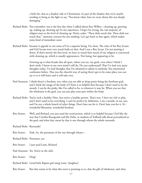a little bit, that as a shadow side to Christianity, it's part of the shadow that we're maybe needing to bring to the light to say, "You know what, how we went about this was deeply damaging."

- Richard Rohr: You remember, was it the first day when I talked about Ken Wilber—cleaning up, growing up, waking up, showing up? In my experience, I hope I'm wrong, the vast majority of religion stays at the level of cleaning up. Purity codes: "Thou shalt touch this. Thou shalt not touch that," immense concern for not stinking. Let's get back to that again, which makes some kind of immediate sense
- Richard Rohr: because it appeals to our sense of I'm a superior being. I'm clean. The rules of the Boy Scouts and Girl Scouts were very much built on that. And I was a Boy Scout, I'm not putting it down. If that's merely the first level, we have to watch how much of our religion is concerned with cleaning up, which is usually appearances. Not being, but appearing to be.

 Growing up is what breaks that all apart, where you see, my gosh, even when I think I don't stink, I know in my own mind I still do. Do you understand? That I've had very petty thoughts today. I've had thoughts that I'm ashamed to admit to anybody. You mentioned confession before. That was the church's way of saying there's got to be some place you can say it or it will fester and it will take over.

- Paul Swanson: I think there's a freedom, too, when you are able to drop purity being the forefront goal, and I think the image of the body of Christ is so helpful then because I don't need to be the mouth. I can be the pinky, like I'm called to be, or whatever it may be. When you see that the wholeness is the goal, you can just play your part within the body.
- Richard Rohr: You're such a healthy Nine, but you're a healthy person. That's true. I have my role to play, and I don't need to be everything. I can't be perfect by definition. I am a mouth, in my case, and I'm not a whole bunch of other things. Don't hate me for it. Don't hate you for it. It's wonderful liberation, wonderful freedom.
- Brie Stoner: Well, and Richard, you just used the word person, which is so helpful because I feel like the way that Cynthia Bourgeault and Ilia Delio, as students of Teilhard talk about personhood as the goal, and what they mean by that is one through whom the whole resounds.

Richard Rohr: Resounds?

- Brie Stoner: Yeah. So, the personare of the one through whom—
- Richard Rohr: Personare, yes.
- Brie Stoner: I just used Latin, Richard.
- Paul Swanson: Yes. You're in the club.
- Brie Stoner: Ding!
- Richard Rohr: Good little Baptist girl using Latin. [laughter]
- Brie Stoner: But that seems to be what this tenet is pointing us to, that the gift of wholeness, and what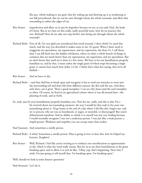Ilia says, whole-making is our goal, that the waking up and showing up is us awakening to our full personhood, that we can be ones through whom the whole resounds, and allow that resounding to soften the edges of our

- Brie Stoner: imperfection and allow us to just be imperfect because we are, as you said, Paul, the body of Christ. But as we close on this really, really powerful tenet, how do we practice this one, Richard? How do we take one step further into being one through whom the whole resounds?
- Richard Rohr: First of all, I'm very glad you introduced that word resound. I don't think I've used that much, and the way you described it makes sense to me. It's good. When I don't need to exaggerate my specialness, my separateness, and my superiority, the three S's, I call them, then I can fall back into the hidden wholeness, where we share a whole bunch of things in common that are much better than my separateness, my superiority, and my specialness. But we don't know that until we've done it a few times. We have to let our humiliations properly humiliate us, and by that, I mean unless the single grain of wheat stops becoming a single grain, it cannot bear much fruit (John 12:24). I think that's what he's saying, that we're all shelled—
- Brie Stoner: And we have to die.
- Richard Rohr: --and that shell has to break open and recognize it has to send out tentacles or roots into the surrounding soil and draw life from different sources: the dirt and the sun. And then, only then, can it grow. That's a good metaphor. I can see why Jesus used the seed metaphor so often. Of course, he lived in an agricultural culture where it was all around him—the planting of seeds, and so forth.
- So, yeah, just let your humiliations properly humiliate you. Now for me, really, and this is why I'm a bit worried about not journaling anymore, the way I would let that soak in for years was journalizing about it. I'd go home at the end of a day where I felt like shit, forgive me, and try to process, why are you so humiliated, or angry, or resentful, or discouraged? But you're disheartened somehow. And an ability to clarify it to myself was just very healing because I would normally recognize I was not a malicious person. I was just like a weak person, a stupid person. Weakness and stupidity you can accept easier than malice.

Paul Swanson: And sometimes a smelly person.

- Richard Rohr: A what? Sometimes a smelly person. Elias is going to love to hear this, how he helped my lectures. [laughter]
- Brie Stoner: Well, Richard, I feel like you're inviting us to embrace our mortifications as opportunities to die, which is what the word really means. But for us to see these humiliations as the grain breaking open, and to allow it to just be like, "Okay, yep, that's happening. Next time I stink, I'm just going to tell myself that. I'm breaking open. I'm breaking open."

Well, should we look at some listener questions?

Paul Swanson: Let's do it.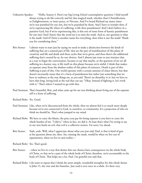- Unknown Speaker: "Hello, Season 4. Here's my big Living School contemplative question: I find myself always trying to do life correctly and hit that magical mark, whether that's Christification, or Enlightenment, or inner peace, or Nirvana. And I've heard Richard say many times we're not punished for our sins, but we're punished by them. And I have to wonder then, if we're experiencing life where it's suffering, is life then punishment? And I don't believe in a punitive God, but if we're experiencing this, is this sort of some form of karmic punishment for our sins? And I know that the word sin is to miss the mark. And so, my question is what is the mark? And if Christ is another name for everything, then what is not the mark? Thank you for considering these."
- Brie Stoner: I almost want to start just by saying we need to make a distinction between the kinds of suffering that are a natural part of life, that are the part of manifestation of this plane of creativity and life and death and these cycles that we're given, and then there's the additional suffering that's created by us, by our choices. And I almost just want to just interject that as a way to begin the conversation, because to say that maybe, or the question of are we all suffering in a karmic way, is life itself on this planet because we're sinful, I think that makes us separate away from the shadow reality of this plane of existence. Death is part of this. Suffering is part of this. Our world operates with a certain amount of chaos theory, but that doesn't necessarily mean that it's a form of punishment but rather just something that we have to embrace as the way things are, as you said. There's an absurdity to it, but we have to have that long, loving look at the real that can say, "Okay. Instead of fighting it, let's work with it." That's where I wanted to go with that.
- Paul Swanson: That's beautiful, Brie, and what came up for me was thinking about living out of the separate self is a form of suffering.
- Richard Rohr: Yes. Good.
- Paul Swanson: Like, when we're disconnected from the whole, then we almost feel it so much more deeply because we're not connected to God, to ourselves, to community. It's a projection of who we think we should be. That's what jumped to my mind.
- Richard Rohr: We have to carry the blame, the price you pay for being separate is you have to carry the whole burden of sin. "I did it," when in fact, we did it. At least that's what I'm trying to say in my new book on evil, that evil is a collective notion. I'm sorry. Go ahead.
- Brie Stoner: Yeah, yeah. Well, what I appreciate about what you just said, Paul, is that it kind of gets at his question about sin, then. Sin, missing the mark, would be when we live out of separateness, when we live in anti-reality—
- Richard Rohr: Yes. That's good.
- Brie Stoner: --when we live in a way that denies that our choices have consequences on the whole body of Christ, or that we're a part of the whole body of Christ; therefore, we're accountable to the body of Christ. That helps me a lot, Paul. I'm grateful you said that.
- Richard Rohr: I do want to repeat that I think the most simple, wonderful metaphor for this whole theme is John 15, the vine and the branches. Just read it over once in a while. It's there very